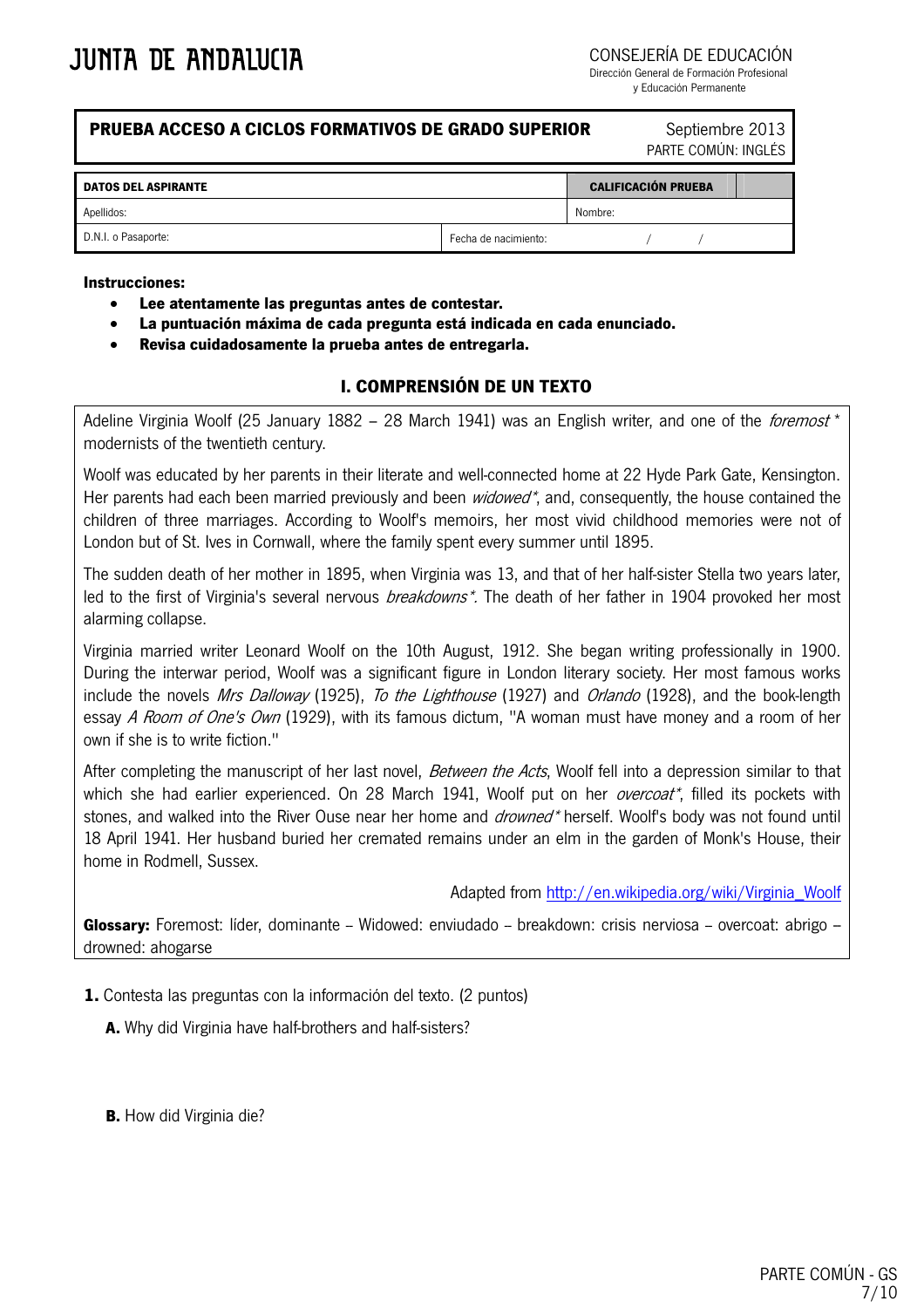CONSEJERÍA DE EDUCACIÓN

Dirección General de Formación Profesional y Educación Permanente

# **PRUEBA ACCESO A CICLOS FORMATIVOS DE GRADO SUPERIOR Septiembre 2013**

PARTE COMÚN: INGLÉS

| <b>DATOS DEL ASPIRANTE</b> |                      | <b>CALIFICACIÓN PRUEBA</b> |  |  |
|----------------------------|----------------------|----------------------------|--|--|
| Apellidos:                 |                      | Nombre:                    |  |  |
| D.N.I. o Pasaporte:        | Fecha de nacimiento: |                            |  |  |

#### **Instrucciones:**

- **Lee atentamente las preguntas antes de contestar.**
- **La puntuación máxima de cada pregunta está indicada en cada enunciado.**
- **Revisa cuidadosamente la prueba antes de entregarla.**

# **I. COMPRENSIÓN DE UN TEXTO**

Adeline Virginia Woolf (25 January 1882 – 28 March 1941) was an English writer, and one of the *foremost* \* modernists of the twentieth century.

Woolf was educated by her parents in their literate and well-connected home at 22 Hyde Park Gate, Kensington. Her parents had each been married previously and been widowed\*, and, consequently, the house contained the children of three marriages. According to Woolf's memoirs, her most vivid childhood memories were not of London but of St. Ives in Cornwall, where the family spent every summer until 1895.

The sudden death of her mother in 1895, when Virginia was 13, and that of her half-sister Stella two years later, led to the first of Virginia's several nervous *breakdowns*\*. The death of her father in 1904 provoked her most alarming collapse.

Virginia married writer Leonard Woolf on the 10th August, 1912. She began writing professionally in 1900. During the interwar period, Woolf was a significant figure in London literary society. Her most famous works include the novels Mrs Dalloway (1925), To the Lighthouse (1927) and Orlando (1928), and the book-length essay A Room of One's Own (1929), with its famous dictum, "A woman must have money and a room of her own if she is to write fiction."

After completing the manuscript of her last novel, Between the Acts, Woolf fell into a depression similar to that which she had earlier experienced. On 28 March 1941, Woolf put on her overcoat<sup>\*</sup>, filled its pockets with stones, and walked into the River Ouse near her home and *drowned*\* herself. Woolf's body was not found until 18 April 1941. Her husband buried her cremated remains under an elm in the garden of Monk's House, their home in Rodmell, Sussex.

Adapted from [http://en.wikipedia.org/wiki/Virginia\\_Woolf](http://en.wikipedia.org/wiki/Virginia_Woolf)

Glossary: Foremost: líder, dominante - Widowed: enviudado - breakdown: crisis nerviosa - overcoat: abrigo drowned: ahogarse

**1.** Contesta las preguntas con la información del texto. (2 puntos)

**A.** Why did Virginia have half-brothers and half-sisters?

**B.** How did Virginia die?